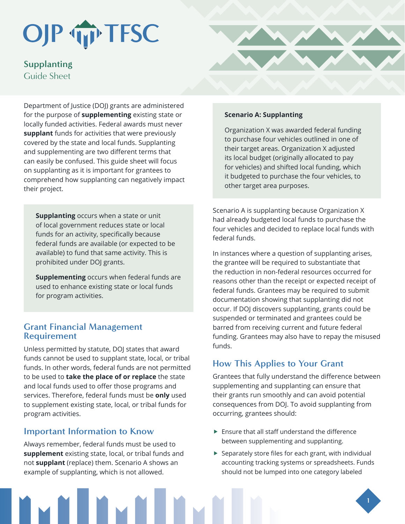# OJP TIP TFSC

**Supplanting** Guide Sheet

Department of Justice (DOJ) grants are administered for the purpose of **supplementing** existing state or locally funded activities. Federal awards must never **supplant** funds for activities that were previously covered by the state and local funds. Supplanting and supplementing are two different terms that can easily be confused. This guide sheet will focus on supplanting as it is important for grantees to comprehend how supplanting can negatively impact their project.

**Supplanting** occurs when a state or unit of local government reduces state or local funds for an activity, specifically because federal funds are available (or expected to be available) to fund that same activity. This is prohibited under DOJ grants.

**Supplementing** occurs when federal funds are used to enhance existing state or local funds for program activities.

## **Grant Financial Management Requirement**

Unless permitted by statute, DOJ states that award funds cannot be used to supplant state, local, or tribal funds. In other words, federal funds are not permitted to be used to **take the place of or replace** the state and local funds used to offer those programs and services. Therefore, federal funds must be **only** used to supplement existing state, local, or tribal funds for program activities.

## **Important Information to Know**

Always remember, federal funds must be used to **supplement** existing state, local, or tribal funds and not **supplant** (replace) them. Scenario A shows an example of supplanting, which is not allowed.



### **Scenario A: Supplanting**

Organization X was awarded federal funding to purchase four vehicles outlined in one of their target areas. Organization X adjusted its local budget (originally allocated to pay for vehicles) and shifted local funding, which it budgeted to purchase the four vehicles, to other target area purposes.

Scenario A is supplanting because Organization X had already budgeted local funds to purchase the four vehicles and decided to replace local funds with federal funds.

In instances where a question of supplanting arises, the grantee will be required to substantiate that the reduction in non-federal resources occurred for reasons other than the receipt or expected receipt of federal funds. Grantees may be required to submit documentation showing that supplanting did not occur. If DOJ discovers supplanting, grants could be suspended or terminated and grantees could be barred from receiving current and future federal funding. Grantees may also have to repay the misused funds.

# **How This Applies to Your Grant**

Grantees that fully understand the difference between supplementing and supplanting can ensure that their grants run smoothly and can avoid potential consequences from DOJ. To avoid supplanting from occurring, grantees should:

- $\blacktriangleright$  Ensure that all staff understand the difference between supplementing and supplanting.
- $\blacktriangleright$  Separately store files for each grant, with individual accounting tracking systems or spreadsheets. Funds should not be lumped into one category labeled

**1**